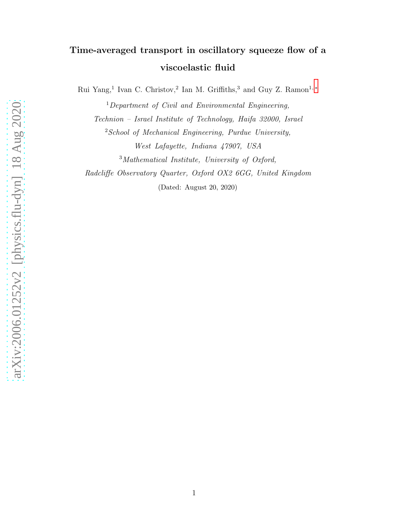# Time-averaged transport in oscillatory squeeze flow of a viscoelastic fluid

Rui Yang,<sup>1</sup> Ivan C. Christov,<sup>2</sup> Ian M. Griffiths,<sup>3</sup> and Guy Z. Ramon<sup>1,\*</sup>

<sup>1</sup>Department of Civil and Environmental Engineering, Technion – Israel Institute of Technology, Haifa 32000, Israel  $2$ School of Mechanical Engineering, Purdue University, West Lafayette, Indiana 47907, USA

<sup>3</sup>Mathematical Institute, University of Oxford,

Radcliffe Observatory Quarter, Oxford OX2 6GG, United Kingdom

(Dated: August 20, 2020)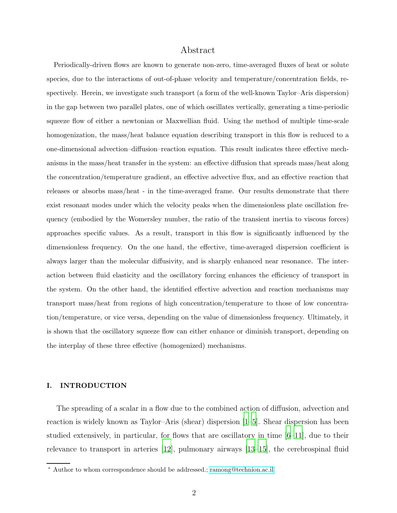# Abstract

Periodically-driven flows are known to generate non-zero, time-averaged fluxes of heat or solute species, due to the interactions of out-of-phase velocity and temperature/concentration fields, respectively. Herein, we investigate such transport (a form of the well-known Taylor–Aris dispersion) in the gap between two parallel plates, one of which oscillates vertically, generating a time-periodic squeeze flow of either a newtonian or Maxwellian fluid. Using the method of multiple time-scale homogenization, the mass/heat balance equation describing transport in this flow is reduced to a one-dimensional advection–diffusion–reaction equation. This result indicates three effective mechanisms in the mass/heat transfer in the system: an effective diffusion that spreads mass/heat along the concentration/temperature gradient, an effective advective flux, and an effective reaction that releases or absorbs mass/heat - in the time-averaged frame. Our results demonstrate that there exist resonant modes under which the velocity peaks when the dimensionless plate oscillation frequency (embodied by the Womersley number, the ratio of the transient inertia to viscous forces) approaches specific values. As a result, transport in this flow is significantly influenced by the dimensionless frequency. On the one hand, the effective, time-averaged dispersion coefficient is always larger than the molecular diffusivity, and is sharply enhanced near resonance. The interaction between fluid elasticity and the oscillatory forcing enhances the efficiency of transport in the system. On the other hand, the identified effective advection and reaction mechanisms may transport mass/heat from regions of high concentration/temperature to those of low concentration/temperature, or vice versa, depending on the value of dimensionless frequency. Ultimately, it is shown that the oscillatory squeeze flow can either enhance or diminish transport, depending on the interplay of these three effective (homogenized) mechanisms.

# I. INTRODUCTION

The spreading of a scalar in a flow due to the combined action of diffusion, advection and reaction is widely known as Taylor–Aris (shear) dispersion [\[1](#page-21-0)[–5\]](#page-21-1). Shear dispersion has been studied extensively, in particular, for flows that are oscillatory in time  $|6-11|$ , due to their relevance to transport in arteries [\[12\]](#page-21-4), pulmonary airways [\[13](#page-21-5)[–15\]](#page-22-0), the cerebrospinal fluid

<span id="page-1-0"></span><sup>∗</sup> Author to whom correspondence should be addressed.; [ramong@technion.ac.il](mailto:ramong@technion.ac.il)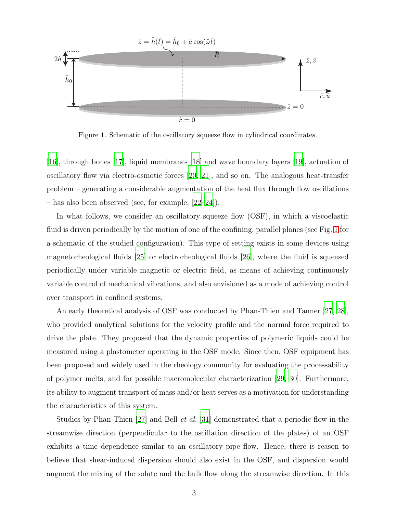

<span id="page-2-0"></span>Figure 1. Schematic of the oscillatory squeeze flow in cylindrical coordinates.

[\[16](#page-22-1)], through bones [\[17\]](#page-22-2), liquid membranes [\[18](#page-22-3)] and wave boundary layers [\[19\]](#page-22-4), actuation of oscillatory flow via electro-osmotic forces [\[20,](#page-22-5) [21](#page-22-6)], and so on. The analogous heat-transfer problem – generating a considerable augmentation of the heat flux through flow oscillations – has also been observed (see, for example, [\[22](#page-22-7)[–24](#page-22-8)]).

In what follows, we consider an oscillatory squeeze flow (OSF), in which a viscoelastic fluid is driven periodically by the motion of one of the confining, parallel planes (see Fig. [1](#page-2-0) for a schematic of the studied configuration). This type of setting exists in some devices using magnetorheological fluids [\[25](#page-22-9)] or electrorheological fluids [\[26\]](#page-22-10), where the fluid is squeezed periodically under variable magnetic or electric field, as means of achieving continuously variable control of mechanical vibrations, and also envisioned as a mode of achieving control over transport in confined systems.

An early theoretical analysis of OSF was conducted by Phan-Thien and Tanner [\[27](#page-22-11), [28\]](#page-23-0), who provided analytical solutions for the velocity profile and the normal force required to drive the plate. They proposed that the dynamic properties of polymeric liquids could be measured using a plastometer operating in the OSF mode. Since then, OSF equipment has been proposed and widely used in the rheology community for evaluating the processability of polymer melts, and for possible macromolecular characterization [\[29,](#page-23-1) [30](#page-23-2)]. Furthermore, its ability to augment transport of mass and/or heat serves as a motivation for understanding the characteristics of this system.

Studies by Phan-Thien [\[27\]](#page-22-11) and Bell *et al.* [\[31\]](#page-23-3) demonstrated that a periodic flow in the streamwise direction (perpendicular to the oscillation direction of the plates) of an OSF exhibits a time dependence similar to an oscillatory pipe flow. Hence, there is reason to believe that shear-induced dispersion should also exist in the OSF, and dispersion would augment the mixing of the solute and the bulk flow along the streamwise direction. In this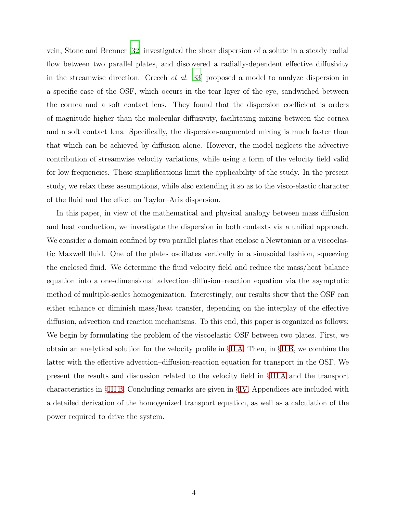vein, Stone and Brenner [\[32\]](#page-23-4) investigated the shear dispersion of a solute in a steady radial flow between two parallel plates, and discovered a radially-dependent effective diffusivity in the streamwise direction. Creech et al. [\[33\]](#page-23-5) proposed a model to analyze dispersion in a specific case of the OSF, which occurs in the tear layer of the eye, sandwiched between the cornea and a soft contact lens. They found that the dispersion coefficient is orders of magnitude higher than the molecular diffusivity, facilitating mixing between the cornea and a soft contact lens. Specifically, the dispersion-augmented mixing is much faster than that which can be achieved by diffusion alone. However, the model neglects the advective contribution of streamwise velocity variations, while using a form of the velocity field valid for low frequencies. These simplifications limit the applicability of the study. In the present study, we relax these assumptions, while also extending it so as to the visco-elastic character of the fluid and the effect on Taylor–Aris dispersion.

In this paper, in view of the mathematical and physical analogy between mass diffusion and heat conduction, we investigate the dispersion in both contexts via a unified approach. We consider a domain confined by two parallel plates that enclose a Newtonian or a viscoelastic Maxwell fluid. One of the plates oscillates vertically in a sinusoidal fashion, squeezing the enclosed fluid. We determine the fluid velocity field and reduce the mass/heat balance equation into a one-dimensional advection–diffusion–reaction equation via the asymptotic method of multiple-scales homogenization. Interestingly, our results show that the OSF can either enhance or diminish mass/heat transfer, depending on the interplay of the effective diffusion, advection and reaction mechanisms. To this end, this paper is organized as follows: We begin by formulating the problem of the viscoelastic OSF between two plates. First, we obtain an analytical solution for the velocity profile in §[II A.](#page-4-0) Then, in §[II B,](#page-7-0) we combine the latter with the effective advection–diffusion-reaction equation for transport in the OSF. We present the results and discussion related to the velocity field in §[III A](#page-10-0) and the transport characteristics in §[III B.](#page-13-0) Concluding remarks are given in §[IV.](#page-19-0) Appendices are included with a detailed derivation of the homogenized transport equation, as well as a calculation of the power required to drive the system.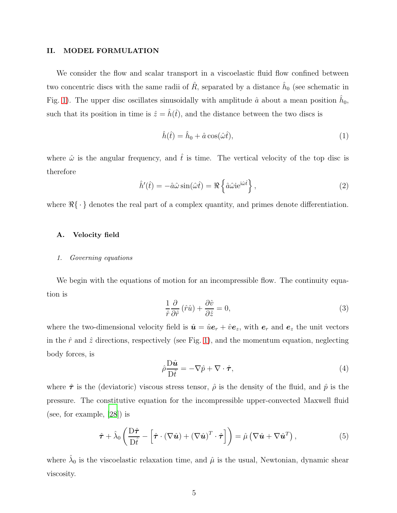## II. MODEL FORMULATION

We consider the flow and scalar transport in a viscoelastic fluid flow confined between two concentric discs with the same radii of  $\hat{R}$ , separated by a distance  $\hat{h}_0$  (see schematic in Fig. [1\)](#page-2-0). The upper disc oscillates sinusoidally with amplitude  $\hat{a}$  about a mean position  $\hat{h}_0$ , such that its position in time is  $\hat{z} = \hat{h}(\hat{t})$ , and the distance between the two discs is

$$
\hat{h}(\hat{t}) = \hat{h}_0 + \hat{a}\cos(\hat{\omega}\hat{t}),\tag{1}
$$

where  $\hat{\omega}$  is the angular frequency, and  $\hat{t}$  is time. The vertical velocity of the top disc is therefore

$$
\hat{h}'(\hat{t}) = -\hat{a}\hat{\omega}\sin(\hat{\omega}\hat{t}) = \Re\left\{\hat{a}\hat{\omega}\mathrm{i}\mathrm{e}^{\mathrm{i}\hat{\omega}\hat{t}}\right\},\tag{2}
$$

where  $\mathcal{R}\{\cdot\}$  denotes the real part of a complex quantity, and primes denote differentiation.

# <span id="page-4-0"></span>A. Velocity field

#### 1. Governing equations

We begin with the equations of motion for an incompressible flow. The continuity equation is

$$
\frac{1}{\hat{r}}\frac{\partial}{\partial \hat{r}}\left(\hat{r}\hat{u}\right) + \frac{\partial \hat{v}}{\partial \hat{z}} = 0,\tag{3}
$$

where the two-dimensional velocity field is  $\hat{\mathbf{u}} = \hat{u} \mathbf{e}_r + \hat{v} \mathbf{e}_z$ , with  $\mathbf{e}_r$  and  $\mathbf{e}_z$  the unit vectors in the  $\hat{r}$  and  $\hat{z}$  directions, respectively (see Fig. [1\)](#page-2-0), and the momentum equation, neglecting body forces, is

<span id="page-4-2"></span>
$$
\hat{\rho} \frac{\mathcal{D}\hat{\mathbf{u}}}{\mathcal{D}\hat{t}} = -\nabla \hat{p} + \nabla \cdot \hat{\boldsymbol{\tau}},\tag{4}
$$

where  $\hat{\tau}$  is the (deviatoric) viscous stress tensor,  $\hat{\rho}$  is the density of the fluid, and  $\hat{p}$  is the pressure. The constitutive equation for the incompressible upper-convected Maxwell fluid (see, for example, [\[28\]](#page-23-0)) is

<span id="page-4-1"></span>
$$
\hat{\boldsymbol{\tau}} + \hat{\lambda}_0 \left( \frac{\mathbf{D}\hat{\boldsymbol{\tau}}}{\mathbf{D}\hat{t}} - \left[ \hat{\boldsymbol{\tau}} \cdot (\nabla \hat{\boldsymbol{u}}) + (\nabla \hat{\boldsymbol{u}})^T \cdot \hat{\boldsymbol{\tau}} \right] \right) = \hat{\mu} \left( \nabla \hat{\boldsymbol{u}} + \nabla \hat{\boldsymbol{u}}^T \right), \tag{5}
$$

where  $\hat{\lambda}_0$  is the viscoelastic relaxation time, and  $\hat{\mu}$  is the usual, Newtonian, dynamic shear viscosity.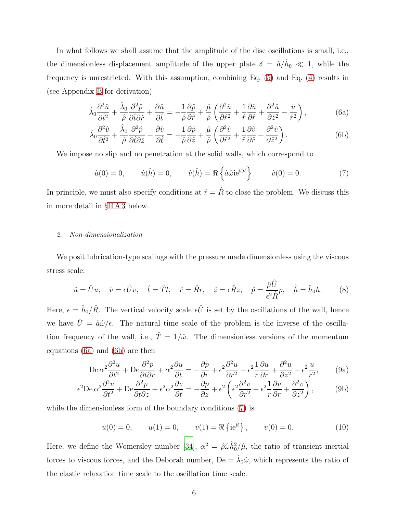In what follows we shall assume that the amplitude of the disc oscillations is small, i.e., the dimensionless displacement amplitude of the upper plate  $\delta = \hat{a}/\hat{h}_0 \ll 1$ , while the frequency is unrestricted. With this assumption, combining Eq. [\(5\)](#page-4-1) and Eq. [\(4\)](#page-4-2) results in (see Appendix [B](#page-26-0) for derivation)

$$
\hat{\lambda}_0 \frac{\partial^2 \hat{u}}{\partial \hat{t}^2} + \frac{\hat{\lambda}_0}{\hat{\rho}} \frac{\partial^2 \hat{p}}{\partial \hat{t} \partial \hat{r}} + \frac{\partial \hat{u}}{\partial \hat{t}} = -\frac{1}{\hat{\rho}} \frac{\partial \hat{p}}{\partial \hat{r}} + \frac{\hat{\mu}}{\hat{\rho}} \left( \frac{\partial^2 \hat{u}}{\partial \hat{r}^2} + \frac{1}{\hat{r}} \frac{\partial \hat{u}}{\partial \hat{r}} + \frac{\partial^2 \hat{u}}{\partial \hat{z}^2} - \frac{\hat{u}}{\hat{r}^2} \right),\tag{6a}
$$

<span id="page-5-0"></span>
$$
\hat{\lambda}_0 \frac{\partial^2 \hat{v}}{\partial \hat{t}^2} + \frac{\hat{\lambda}_0}{\hat{\rho}} \frac{\partial^2 \hat{p}}{\partial \hat{t} \partial \hat{z}} + \frac{\partial \hat{v}}{\partial \hat{t}} = -\frac{1}{\hat{\rho}} \frac{\partial \hat{p}}{\partial \hat{z}} + \frac{\hat{\mu}}{\hat{\rho}} \left( \frac{\partial^2 \hat{v}}{\partial \hat{r}^2} + \frac{1}{\hat{r}} \frac{\partial \hat{v}}{\partial \hat{r}} + \frac{\partial^2 \hat{v}}{\partial \hat{z}^2} \right). \tag{6b}
$$

We impose no slip and no penetration at the solid walls, which correspond to

<span id="page-5-2"></span><span id="page-5-1"></span>
$$
\hat{u}(0) = 0, \qquad \hat{u}(\hat{h}) = 0, \qquad \hat{v}(\hat{h}) = \Re\left\{\hat{a}\hat{\omega}\mathrm{i}\mathrm{e}^{\mathrm{i}\hat{\omega}\hat{t}}\right\}, \qquad \hat{v}(0) = 0. \tag{7}
$$

In principle, we must also specify conditions at  $\hat{r} = \hat{R}$  to close the problem. We discuss this in more detail in §[II A 3](#page-6-0) below.

### 2. Non-dimensionalization

We posit lubrication-type scalings with the pressure made dimensionless using the viscous stress scale:

<span id="page-5-6"></span>
$$
\hat{u} = \hat{U}u, \quad \hat{v} = \epsilon \hat{U}v, \quad \hat{t} = \hat{T}t, \quad \hat{r} = \hat{R}r, \quad \hat{z} = \epsilon \hat{R}z, \quad \hat{p} = \frac{\hat{\mu}\hat{U}}{\epsilon^2 \hat{R}}p, \quad \hat{h} = \hat{h}_0 h. \tag{8}
$$

Here,  $\epsilon = \hat{h}_0 / \hat{R}$ . The vertical velocity scale  $\epsilon \hat{U}$  is set by the oscillations of the wall, hence we have  $\hat{U} = \hat{a}\hat{\omega}/\epsilon$ . The natural time scale of the problem is the inverse of the oscillation frequency of the wall, i.e.,  $\hat{T} = 1/\hat{\omega}$ . The dimensionless versions of the momentum equations [\(6a\)](#page-5-0) and [\(6b\)](#page-5-1) are then

$$
\text{De }\alpha^2 \frac{\partial^2 u}{\partial t^2} + \text{De }\frac{\partial^2 p}{\partial t \partial r} + \alpha^2 \frac{\partial u}{\partial t} = -\frac{\partial p}{\partial r} + \epsilon^2 \frac{\partial^2 u}{\partial r^2} + \epsilon^2 \frac{1}{r} \frac{\partial u}{\partial r} + \frac{\partial^2 u}{\partial z^2} - \epsilon^2 \frac{u}{r^2},\tag{9a}
$$

$$
\epsilon^2 \text{De } \alpha^2 \frac{\partial^2 v}{\partial t^2} + \text{De } \frac{\partial^2 p}{\partial t \partial z} + \epsilon^2 \alpha^2 \frac{\partial v}{\partial t} = -\frac{\partial p}{\partial z} + \epsilon^2 \left( \epsilon^2 \frac{\partial^2 v}{\partial r^2} + \epsilon^2 \frac{1}{r} \frac{\partial v}{\partial r} + \frac{\partial^2 v}{\partial z^2} \right),\tag{9b}
$$

while the dimensionless form of the boundary conditions  $(7)$  is

<span id="page-5-5"></span><span id="page-5-4"></span><span id="page-5-3"></span>
$$
u(0) = 0,
$$
  $u(1) = 0,$   $v(1) = \Re\{\mathrm{ie}^{\mathrm{i}t}\}, v(0) = 0.$  (10)

Here, we define the Womersley number [\[34\]](#page-23-6),  $\alpha^2 = \hat{\rho}\hat{\omega}\hat{h}_0^2/\hat{\mu}$ , the ratio of transient inertial forces to viscous forces, and the Deborah number,  $De = \hat{\lambda}_0 \hat{\omega}$ , which represents the ratio of the elastic relaxation time scale to the oscillation time scale.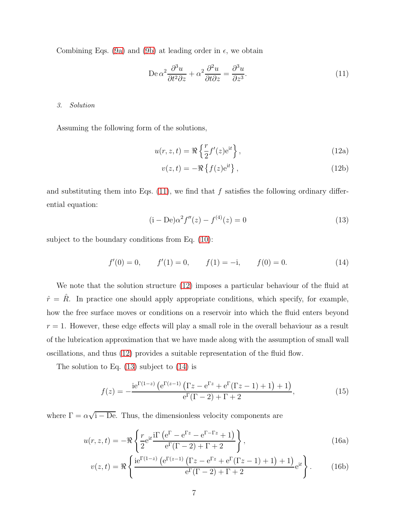Combining Eqs. [\(9a\)](#page-5-3) and [\(9b\)](#page-5-4) at leading order in  $\epsilon$ , we obtain

<span id="page-6-1"></span>
$$
De \alpha^2 \frac{\partial^3 u}{\partial t^2 \partial z} + \alpha^2 \frac{\partial^2 u}{\partial t \partial z} = \frac{\partial^3 u}{\partial z^3}.
$$
 (11)

#### <span id="page-6-0"></span>3. Solution

Assuming the following form of the solutions,

<span id="page-6-2"></span>
$$
u(r, z, t) = \Re\left\{\frac{r}{2}f'(z)e^{it}\right\},\qquad(12a)
$$

<span id="page-6-6"></span>
$$
v(z,t) = -\Re\left\{f(z)e^{it}\right\},\tag{12b}
$$

and substituting them into Eqs.  $(11)$ , we find that f satisfies the following ordinary differential equation:

<span id="page-6-3"></span>
$$
(i - De)\alpha^2 f''(z) - f^{(4)}(z) = 0
$$
\n(13)

subject to the boundary conditions from Eq. [\(10\)](#page-5-5):

<span id="page-6-4"></span>
$$
f'(0) = 0, \t f'(1) = 0, \t f(1) = -i, \t f(0) = 0.
$$
\t(14)

We note that the solution structure  $(12)$  imposes a particular behaviour of the fluid at  $\hat{r} = \hat{R}$ . In practice one should apply appropriate conditions, which specify, for example, how the free surface moves or conditions on a reservoir into which the fluid enters beyond  $r = 1$ . However, these edge effects will play a small role in the overall behaviour as a result of the lubrication approximation that we have made along with the assumption of small wall oscillations, and thus [\(12\)](#page-6-2) provides a suitable representation of the fluid flow.

The solution to Eq. [\(13\)](#page-6-3) subject to [\(14\)](#page-6-4) is

<span id="page-6-5"></span>
$$
f(z) = -\frac{ie^{\Gamma(1-z)} (e^{\Gamma(z-1)} (\Gamma z - e^{\Gamma z} + e^{\Gamma} (\Gamma z - 1) + 1) + 1)}{e^{\Gamma}(\Gamma - 2) + \Gamma + 2},
$$
\n(15)

where  $\Gamma = \alpha \sqrt{1 - De}$ . Thus, the dimensionless velocity components are

$$
u(r,z,t) = -\Re\left\{\frac{r}{2}e^{it}\frac{i\Gamma\left(e^{\Gamma}-e^{\Gamma z}-e^{\Gamma-\Gamma z}+1\right)}{e^{\Gamma}(\Gamma-2)+\Gamma+2}\right\},\tag{16a}
$$

$$
v(z,t) = \Re \left\{ \frac{ie^{\Gamma(1-z)} \left( e^{\Gamma(z-1)} \left( \Gamma z - e^{\Gamma z} + e^{\Gamma} (\Gamma z - 1) + 1 \right) + 1 \right)}{e^{\Gamma} (\Gamma - 2) + \Gamma + 2} e^{it} \right\}.
$$
 (16b)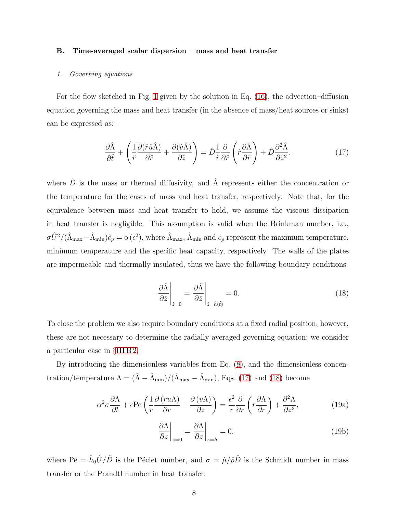#### <span id="page-7-0"></span>B. Time-averaged scalar dispersion – mass and heat transfer

# 1. Governing equations

For the flow sketched in Fig. [1](#page-2-0) given by the solution in Eq. [\(16\)](#page-6-5), the advection–diffusion equation governing the mass and heat transfer (in the absence of mass/heat sources or sinks) can be expressed as:

<span id="page-7-1"></span>
$$
\frac{\partial \hat{\Lambda}}{\partial \hat{t}} + \left( \frac{1}{\hat{r}} \frac{\partial (\hat{r}\hat{u}\hat{\Lambda})}{\partial \hat{r}} + \frac{\partial (\hat{v}\hat{\Lambda})}{\partial \hat{z}} \right) = \hat{D} \frac{1}{\hat{r}} \frac{\partial}{\partial \hat{r}} \left( \hat{r} \frac{\partial \hat{\Lambda}}{\partial \hat{r}} \right) + \hat{D} \frac{\partial^2 \hat{\Lambda}}{\partial \hat{z}^2}.
$$
(17)

where  $\hat{D}$  is the mass or thermal diffusivity, and  $\hat{\Lambda}$  represents either the concentration or the temperature for the cases of mass and heat transfer, respectively. Note that, for the equivalence between mass and heat transfer to hold, we assume the viscous dissipation in heat transfer is negligible. This assumption is valid when the Brinkman number, i.e.,  $\sigma \hat{U}^2/(\hat{\Lambda}_{\text{max}} - \hat{\Lambda}_{\text{min}})\hat{c}_p = o(\epsilon^2)$ , where  $\hat{\Lambda}_{\text{max}}$ ,  $\hat{\Lambda}_{\text{min}}$  and  $\hat{c}_p$  represent the maximum temperature, minimum temperature and the specific heat capacity, respectively. The walls of the plates are impermeable and thermally insulated, thus we have the following boundary conditions

<span id="page-7-2"></span>
$$
\left. \frac{\partial \hat{\Lambda}}{\partial \hat{z}} \right|_{\hat{z}=0} = \left. \frac{\partial \hat{\Lambda}}{\partial \hat{z}} \right|_{\hat{z}=\hat{h}(\hat{t})} = 0. \tag{18}
$$

To close the problem we also require boundary conditions at a fixed radial position, however, these are not necessary to determine the radially averaged governing equation; we consider a particular case in §[III B 2.](#page-17-0)

By introducing the dimensionless variables from Eq. [\(8\)](#page-5-6), and the dimensionless concentration/temperature  $\Lambda = (\hat{\Lambda} - \hat{\Lambda}_{min})/(\hat{\Lambda}_{max} - \hat{\Lambda}_{min})$ , Eqs. [\(17\)](#page-7-1) and [\(18\)](#page-7-2) become

$$
\alpha^2 \sigma \frac{\partial \Lambda}{\partial t} + \epsilon \text{Pe} \left( \frac{1}{r} \frac{\partial (r u \Lambda)}{\partial r} + \frac{\partial (v \Lambda)}{\partial z} \right) = \frac{\epsilon^2}{r} \frac{\partial}{\partial r} \left( r \frac{\partial \Lambda}{\partial r} \right) + \frac{\partial^2 \Lambda}{\partial z^2}, \tag{19a}
$$

<span id="page-7-4"></span><span id="page-7-3"></span>
$$
\left. \frac{\partial \Lambda}{\partial z} \right|_{z=0} = \left. \frac{\partial \Lambda}{\partial z} \right|_{z=h} = 0. \tag{19b}
$$

where Pe =  $\hat{h}_0 \hat{U}/\hat{D}$  is the Péclet number, and  $\sigma = \hat{\mu}/\hat{\rho}\hat{D}$  is the Schmidt number in mass transfer or the Prandtl number in heat transfer.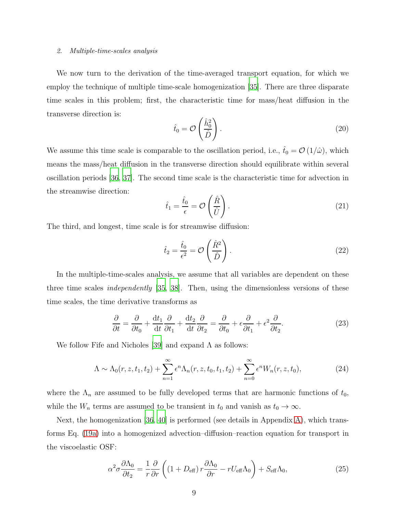#### 2. Multiple-time-scales analysis

We now turn to the derivation of the time-averaged transport equation, for which we employ the technique of multiple time-scale homogenization [\[35\]](#page-23-7). There are three disparate time scales in this problem; first, the characteristic time for mass/heat diffusion in the transverse direction is:

<span id="page-8-2"></span>
$$
\hat{t}_0 = \mathcal{O}\left(\frac{\hat{h}_0^2}{\hat{D}}\right). \tag{20}
$$

We assume this time scale is comparable to the oscillation period, i.e.,  $\hat{t}_0 = \mathcal{O}(1/\hat{\omega})$ , which means the mass/heat diffusion in the transverse direction should equilibrate within several oscillation periods [\[36,](#page-23-8) [37\]](#page-23-9). The second time scale is the characteristic time for advection in the streamwise direction:

$$
\hat{t}_1 = \frac{\hat{t}_0}{\epsilon} = \mathcal{O}\left(\frac{\hat{R}}{\hat{U}}\right). \tag{21}
$$

The third, and longest, time scale is for streamwise diffusion:

<span id="page-8-3"></span>
$$
\hat{t}_2 = \frac{\hat{t}_0}{\epsilon^2} = \mathcal{O}\left(\frac{\hat{R}^2}{\hat{D}}\right). \tag{22}
$$

In the multiple-time-scales analysis, we assume that all variables are dependent on these three time scales independently [\[35,](#page-23-7) [38\]](#page-23-10). Then, using the dimensionless versions of these time scales, the time derivative transforms as

<span id="page-8-0"></span>
$$
\frac{\partial}{\partial t} = \frac{\partial}{\partial t_0} + \frac{\mathrm{d}t_1}{\mathrm{d}t} \frac{\partial}{\partial t_1} + \frac{\mathrm{d}t_2}{\mathrm{d}t} \frac{\partial}{\partial t_2} = \frac{\partial}{\partial t_0} + \epsilon \frac{\partial}{\partial t_1} + \epsilon^2 \frac{\partial}{\partial t_2}.
$$
(23)

We follow Fife and Nicholes [\[39\]](#page-23-11) and expand  $\Lambda$  as follows:

$$
\Lambda \sim \Lambda_0(r, z, t_1, t_2) + \sum_{n=1}^{\infty} \epsilon^n \Lambda_n(r, z, t_0, t_1, t_2) + \sum_{n=0}^{\infty} \epsilon^n W_n(r, z, t_0), \tag{24}
$$

where the  $\Lambda_n$  are assumed to be fully developed terms that are harmonic functions of  $t_0$ , while the  $W_n$  terms are assumed to be transient in  $t_0$  and vanish as  $t_0 \to \infty$ .

Next, the homogenization [\[36,](#page-23-8) [40](#page-23-12)] is performed (see details in Appendix [A\)](#page-24-0), which transforms Eq. [\(19a\)](#page-7-3) into a homogenized advection–diffusion–reaction equation for transport in the viscoelastic OSF:

<span id="page-8-1"></span>
$$
\alpha^2 \sigma \frac{\partial \Lambda_0}{\partial t_2} = \frac{1}{r} \frac{\partial}{\partial r} \left( \left( 1 + D_{\text{eff}} \right) r \frac{\partial \Lambda_0}{\partial r} - r U_{\text{eff}} \Lambda_0 \right) + S_{\text{eff}} \Lambda_0, \tag{25}
$$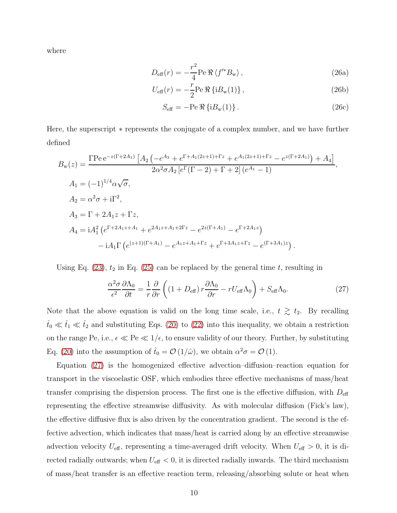<span id="page-9-1"></span>where

$$
D_{\text{eff}}(r) = -\frac{r^2}{4} \text{Pe } \Re \langle f'^* B_{\text{w}} \rangle \,, \tag{26a}
$$

$$
U_{\text{eff}}(r) = -\frac{r}{2} \text{Pe } \Re \left\{ i B_{\text{w}}(1) \right\},\tag{26b}
$$

$$
S_{\text{eff}} = -\text{Pe} \,\Re\left\{iB_{\text{w}}(1)\right\}.
$$
 (26c)

Here, the superscript ∗ represents the conjugate of a complex number, and we have further defined

$$
B_{\rm w}(z) = \frac{\Gamma \text{Pe} e^{-z(\Gamma + 2A_1)} \left[ A_2 \left( -e^{A_3} + e^{\Gamma + A_1(2z+1) + \Gamma z} + e^{A_1(2z+1) + \Gamma z} - e^{z(\Gamma + 2A_1)} \right) + A_4 \right]}{2\alpha^2 \sigma A_2 \left[ e^{\Gamma}(\Gamma - 2) + \Gamma + 2 \right] \left( e^{A_1} - 1 \right)},
$$
\n
$$
A_1 = (-1)^{1/4} \alpha \sqrt{\sigma},
$$
\n
$$
A_2 = \alpha^2 \sigma + i \Gamma^2,
$$
\n
$$
A_3 = \Gamma + 2A_1 z + \Gamma z,
$$
\n
$$
A_4 = i A_1^2 \left( e^{\Gamma + 2A_1 z + A_1} + e^{2A_1 z + A_1 + 2\Gamma z} - e^{2z(\Gamma + A_1)} - e^{\Gamma + 2A_1 z} \right)
$$
\n
$$
-i A_1 \Gamma \left( e^{(z+1)(\Gamma + A_1)} - e^{A_1 z + A_1 + \Gamma z} + e^{\Gamma + 3A_1 z + \Gamma z} - e^{(\Gamma + 3A_1)z} \right).
$$

Using Eq.  $(23)$ ,  $t_2$  in Eq.  $(25)$  can be replaced by the general time t, resulting in

<span id="page-9-0"></span>
$$
\frac{\alpha^2 \sigma}{\epsilon^2} \frac{\partial \Lambda_0}{\partial t} = \frac{1}{r} \frac{\partial}{\partial r} \left( \left( 1 + D_{\text{eff}} \right) r \frac{\partial \Lambda_0}{\partial r} - r U_{\text{eff}} \Lambda_0 \right) + S_{\text{eff}} \Lambda_0. \tag{27}
$$

Note that the above equation is valid on the long time scale, i.e.,  $t \geq t_2$ . By recalling  $t<sub>0</sub> \ll t<sub>1</sub> \ll t<sub>2</sub>$  and substituting Eqs. [\(20\)](#page-8-2) to [\(22\)](#page-8-3) into this inequality, we obtain a restriction on the range Pe, i.e.,  $\epsilon \ll Pe \ll 1/\epsilon$ , to ensure validity of our theory. Further, by substituting Eq. [\(20\)](#page-8-2) into the assumption of  $\hat{t}_0 = \mathcal{O}(1/\hat{\omega})$ , we obtain  $\alpha^2 \sigma = \mathcal{O}(1)$ .

Equation [\(27\)](#page-9-0) is the homogenized effective advection–diffusion–reaction equation for transport in the viscoelastic OSF, which embodies three effective mechanisms of mass/heat transfer comprising the dispersion process. The first one is the effective diffusion, with  $D_{\text{eff}}$ representing the effective streamwise diffusivity. As with molecular diffusion (Fick's law), the effective diffusive flux is also driven by the concentration gradient. The second is the effective advection, which indicates that mass/heat is carried along by an effective streamwise advection velocity  $U_{\text{eff}}$ , representing a time-averaged drift velocity. When  $U_{\text{eff}} > 0$ , it is directed radially outwards; when  $U_{\text{eff}} < 0$ , it is directed radially inwards. The third mechanism of mass/heat transfer is an effective reaction term, releasing/absorbing solute or heat when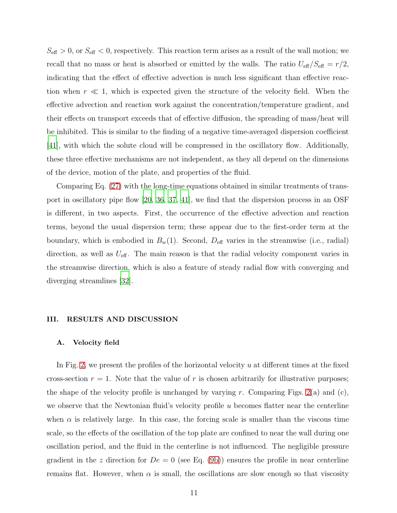$S_{\text{eff}} > 0$ , or  $S_{\text{eff}} < 0$ , respectively. This reaction term arises as a result of the wall motion; we recall that no mass or heat is absorbed or emitted by the walls. The ratio  $U_{\text{eff}}/S_{\text{eff}} = r/2$ , indicating that the effect of effective advection is much less significant than effective reaction when  $r \ll 1$ , which is expected given the structure of the velocity field. When the effective advection and reaction work against the concentration/temperature gradient, and their effects on transport exceeds that of effective diffusion, the spreading of mass/heat will be inhibited. This is similar to the finding of a negative time-averaged dispersion coefficient [\[41](#page-23-13)], with which the solute cloud will be compressed in the oscillatory flow. Additionally, these three effective mechanisms are not independent, as they all depend on the dimensions of the device, motion of the plate, and properties of the fluid.

Comparing Eq. [\(27\)](#page-9-0) with the long-time equations obtained in similar treatments of transport in oscillatory pipe flow [\[20,](#page-22-5) [36,](#page-23-8) [37,](#page-23-9) [41\]](#page-23-13), we find that the dispersion process in an OSF is different, in two aspects. First, the occurrence of the effective advection and reaction terms, beyond the usual dispersion term; these appear due to the first-order term at the boundary, which is embodied in  $B_w(1)$ . Second,  $D_{\text{eff}}$  varies in the streamwise (i.e., radial) direction, as well as  $U_{\text{eff}}$ . The main reason is that the radial velocity component varies in the streamwise direction, which is also a feature of steady radial flow with converging and diverging streamlines [\[32\]](#page-23-4).

#### III. RESULTS AND DISCUSSION

#### <span id="page-10-0"></span>A. Velocity field

In Fig. [2,](#page-11-0) we present the profiles of the horizontal velocity  $u$  at different times at the fixed cross-section  $r = 1$ . Note that the value of r is chosen arbitrarily for illustrative purposes; the shape of the velocity profile is unchanged by varying r. Comparing Figs.  $2(a)$  and  $(c)$ , we observe that the Newtonian fluid's velocity profile u becomes flatter near the centerline when  $\alpha$  is relatively large. In this case, the forcing scale is smaller than the viscous time scale, so the effects of the oscillation of the top plate are confined to near the wall during one oscillation period, and the fluid in the centerline is not influenced. The negligible pressure gradient in the z direction for  $De = 0$  (see Eq. [\(9b\)](#page-5-4)) ensures the profile in near centerline remains flat. However, when  $\alpha$  is small, the oscillations are slow enough so that viscosity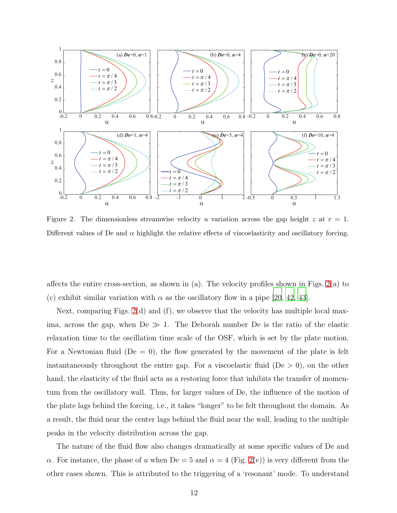

<span id="page-11-0"></span>Figure 2. The dimensionless streamwise velocity u variation across the gap height z at  $r = 1$ . Different values of De and  $\alpha$  highlight the relative effects of viscoelasticity and oscillatory forcing.

affects the entire cross-section, as shown in (a). The velocity profiles shown in Figs.  $2(a)$  to (c) exhibit similar variation with  $\alpha$  as the oscillatory flow in a pipe [\[20,](#page-22-5) [42](#page-24-1), [43](#page-24-2)].

Next, comparing Figs.  $2(d)$  and  $(f)$ , we observe that the velocity has multiple local maxima, across the gap, when  $De \gg 1$ . The Deborah number De is the ratio of the elastic relaxation time to the oscillation time scale of the OSF, which is set by the plate motion. For a Newtonian fluid ( $De = 0$ ), the flow generated by the movement of the plate is felt instantaneously throughout the entire gap. For a viscoelastic fluid ( $De > 0$ ), on the other hand, the elasticity of the fluid acts as a restoring force that inhibits the transfer of momentum from the oscillatory wall. Thus, for larger values of De, the influence of the motion of the plate lags behind the forcing, i.e., it takes "longer" to be felt throughout the domain. As a result, the fluid near the center lags behind the fluid near the wall, leading to the multiple peaks in the velocity distribution across the gap.

The nature of the fluid flow also changes dramatically at some specific values of De and α. For instance, the phase of u when  $De = 5$  and  $α = 4$  (Fig. [2\(](#page-11-0)e)) is very different from the other cases shown. This is attributed to the triggering of a 'resonant' mode. To understand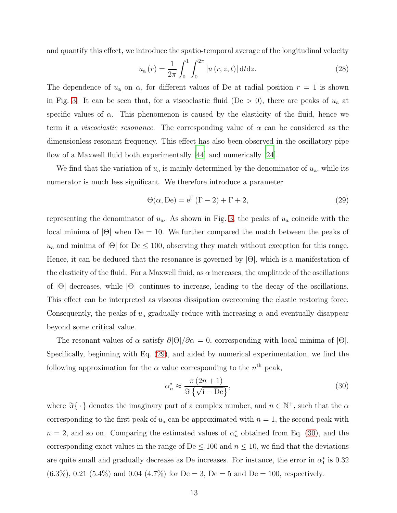and quantify this effect, we introduce the spatio-temporal average of the longitudinal velocity

<span id="page-12-2"></span>
$$
u_{a}(r) = \frac{1}{2\pi} \int_{0}^{1} \int_{0}^{2\pi} |u(r, z, t)| dt dz.
$$
 (28)

The dependence of  $u_a$  on  $\alpha$ , for different values of De at radial position  $r = 1$  is shown in Fig. [3.](#page-13-1) It can be seen that, for a viscoelastic fluid (De  $>$  0), there are peaks of  $u_a$  at specific values of  $\alpha$ . This phenomenon is caused by the elasticity of the fluid, hence we term it a *viscoelastic resonance*. The corresponding value of  $\alpha$  can be considered as the dimensionless resonant frequency. This effect has also been observed in the oscillatory pipe flow of a Maxwell fluid both experimentally [\[44\]](#page-24-3) and numerically [\[24\]](#page-22-8).

We find that the variation of  $u_a$  is mainly determined by the denominator of  $u_a$ , while its numerator is much less significant. We therefore introduce a parameter

<span id="page-12-0"></span>
$$
\Theta(\alpha, \text{De}) = e^{\Gamma} (\Gamma - 2) + \Gamma + 2, \tag{29}
$$

representing the denominator of  $u_a$ . As shown in Fig. [3,](#page-13-1) the peaks of  $u_a$  coincide with the local minima of  $|\Theta|$  when  $\text{De} = 10$ . We further compared the match between the peaks of  $u_a$  and minima of  $|\Theta|$  for  $\text{De} \leq 100$ , observing they match without exception for this range. Hence, it can be deduced that the resonance is governed by  $|\Theta|$ , which is a manifestation of the elasticity of the fluid. For a Maxwell fluid, as  $\alpha$  increases, the amplitude of the oscillations of |Θ| decreases, while |Θ| continues to increase, leading to the decay of the oscillations. This effect can be interpreted as viscous dissipation overcoming the elastic restoring force. Consequently, the peaks of  $u_a$  gradually reduce with increasing  $\alpha$  and eventually disappear beyond some critical value.

The resonant values of  $\alpha$  satisfy  $\partial |\Theta|/\partial \alpha = 0$ , corresponding with local minima of  $|\Theta|$ . Specifically, beginning with Eq. [\(29\)](#page-12-0), and aided by numerical experimentation, we find the following approximation for the  $\alpha$  value corresponding to the  $n<sup>th</sup>$  peak,

<span id="page-12-1"></span>
$$
\alpha_n^* \approx \frac{\pi (2n+1)}{\Im \left\{ \sqrt{1 - D \mathbf{e}} \right\}},\tag{30}
$$

where  $\Im\{\cdot\}$  denotes the imaginary part of a complex number, and  $n \in \mathbb{N}^+$ , such that the  $\alpha$ corresponding to the first peak of  $u_a$  can be approximated with  $n = 1$ , the second peak with  $n = 2$ , and so on. Comparing the estimated values of  $\alpha_n^*$  $_n^*$  obtained from Eq. [\(30\)](#page-12-1), and the corresponding exact values in the range of De  $\leq 100$  and  $n \leq 10$ , we find that the deviations are quite small and gradually decrease as De increases. For instance, the error in  $\alpha_1^*$  $_1^*$  is 0.32  $(6.3\%), 0.21 (5.4\%)$  and 0.04  $(4.7\%)$  for De = 3, De = 5 and De = 100, respectively.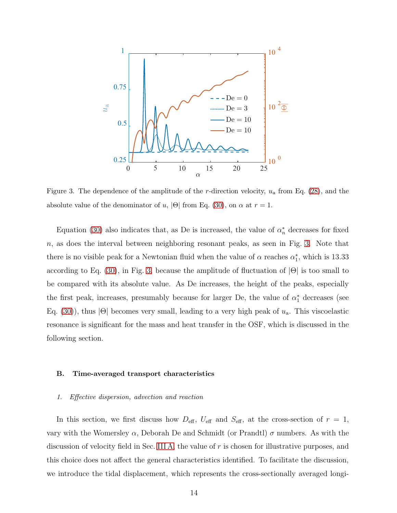

<span id="page-13-1"></span>Figure 3. The dependence of the amplitude of the r-direction velocity,  $u_a$  from Eq. [\(28\)](#page-12-2), and the absolute value of the denominator of u,  $|\Theta|$  from Eq. [\(30\)](#page-12-1), on  $\alpha$  at  $r = 1$ .

Equation [\(30\)](#page-12-1) also indicates that, as De is increased, the value of  $\alpha_n^*$  decreases for fixed n, as does the interval between neighboring resonant peaks, as seen in Fig. [3.](#page-13-1) Note that there is no visible peak for a Newtonian fluid when the value of  $\alpha$  reaches  $\alpha_1^*$  $_1^*$ , which is 13.33 according to Eq. [\(30\)](#page-12-1), in Fig. [3,](#page-13-1) because the amplitude of fluctuation of  $|\Theta|$  is too small to be compared with its absolute value. As De increases, the height of the peaks, especially the first peak, increases, presumably because for larger De, the value of  $\alpha_1^*$  decreases (see Eq. [\(30\)](#page-12-1)), thus  $|\Theta|$  becomes very small, leading to a very high peak of  $u_a$ . This viscoelastic resonance is significant for the mass and heat transfer in the OSF, which is discussed in the following section.

# <span id="page-13-0"></span>B. Time-averaged transport characteristics

#### 1. Effective dispersion, advection and reaction

In this section, we first discuss how  $D_{\text{eff}}$ ,  $U_{\text{eff}}$  and  $S_{\text{eff}}$ , at the cross-section of  $r = 1$ , vary with the Womersley  $\alpha$ , Deborah De and Schmidt (or Prandtl)  $\sigma$  numbers. As with the discussion of velocity field in Sec. [III A,](#page-10-0) the value of r is chosen for illustrative purposes, and this choice does not affect the general characteristics identified. To facilitate the discussion, we introduce the tidal displacement, which represents the cross-sectionally averaged longi-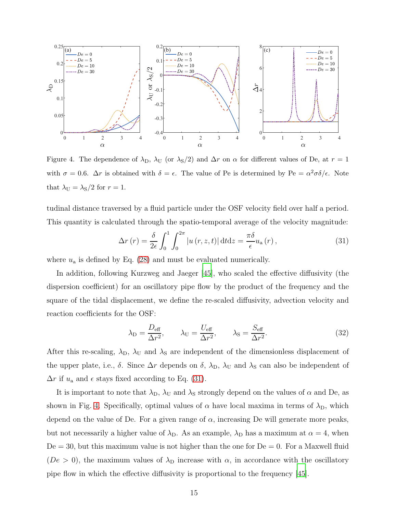

<span id="page-14-1"></span>Figure 4. The dependence of  $\lambda_D$ ,  $\lambda_U$  (or  $\lambda_S/2$ ) and  $\Delta r$  on  $\alpha$  for different values of De, at  $r = 1$ with  $\sigma = 0.6$ .  $\Delta r$  is obtained with  $\delta = \epsilon$ . The value of Pe is determined by Pe =  $\alpha^2 \sigma \delta / \epsilon$ . Note that  $\lambda_U = \lambda_S/2$  for  $r = 1$ .

tudinal distance traversed by a fluid particle under the OSF velocity field over half a period. This quantity is calculated through the spatio-temporal average of the velocity magnitude:

<span id="page-14-0"></span>
$$
\Delta r\left(r\right) = \frac{\delta}{2\epsilon} \int_0^1 \int_0^{2\pi} \left|u\left(r, z, t\right)\right| \mathrm{d}t \mathrm{d}z = \frac{\pi \delta}{\epsilon} u_\mathrm{a}\left(r\right),\tag{31}
$$

where  $u_a$  is defined by Eq. [\(28\)](#page-12-2) and must be evaluated numerically.

In addition, following Kurzweg and Jaeger [\[45\]](#page-24-4), who scaled the effective diffusivity (the dispersion coefficient) for an oscillatory pipe flow by the product of the frequency and the square of the tidal displacement, we define the re-scaled diffusivity, advection velocity and reaction coefficients for the OSF:

$$
\lambda_{\rm D} = \frac{D_{\rm eff}}{\Delta r^2}, \qquad \lambda_{\rm U} = \frac{U_{\rm eff}}{\Delta r^2}, \qquad \lambda_{\rm S} = \frac{S_{\rm eff}}{\Delta r^2}.
$$
 (32)

After this re-scaling,  $\lambda_{\rm D}$ ,  $\lambda_{\rm U}$  and  $\lambda_{\rm S}$  are independent of the dimensionless displacement of the upper plate, i.e.,  $\delta$ . Since  $\Delta r$  depends on  $\delta$ ,  $\lambda_{\rm D}$ ,  $\lambda_{\rm U}$  and  $\lambda_{\rm S}$  can also be independent of  $\Delta r$  if  $u_a$  and  $\epsilon$  stays fixed according to Eq. [\(31\)](#page-14-0).

It is important to note that  $\lambda_{\text{D}}$ ,  $\lambda_{\text{U}}$  and  $\lambda_{\text{S}}$  strongly depend on the values of  $\alpha$  and De, as shown in Fig. [4.](#page-14-1) Specifically, optimal values of  $\alpha$  have local maxima in terms of  $\lambda_{\rm D}$ , which depend on the value of De. For a given range of  $\alpha$ , increasing De will generate more peaks, but not necessarily a higher value of  $\lambda_{D}$ . As an example,  $\lambda_{D}$  has a maximum at  $\alpha = 4$ , when  $De = 30$ , but this maximum value is not higher than the one for  $De = 0$ . For a Maxwell fluid ( $De > 0$ ), the maximum values of  $\lambda_{\text{D}}$  increase with  $\alpha$ , in accordance with the oscillatory pipe flow in which the effective diffusivity is proportional to the frequency [\[45\]](#page-24-4).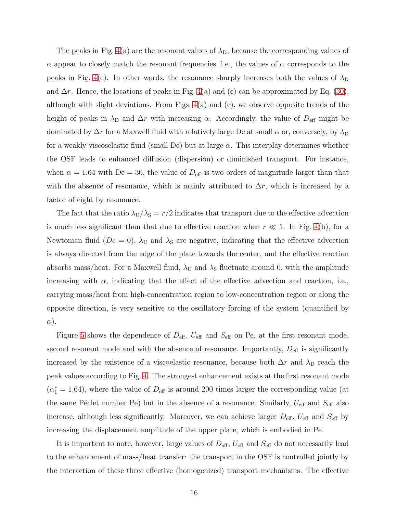The peaks in Fig. [4\(](#page-14-1)a) are the resonant values of  $\lambda_{\text{D}}$ , because the corresponding values of  $\alpha$  appear to closely match the resonant frequencies, i.e., the values of  $\alpha$  corresponds to the peaks in Fig. [4\(](#page-14-1)c). In other words, the resonance sharply increases both the values of  $\lambda_{\rm D}$ and  $\Delta r$ . Hence, the locations of peaks in Fig. [4\(](#page-14-1)a) and (c) can be approximated by Eq. [\(30\)](#page-12-1), although with slight deviations. From Figs.  $4(a)$  and  $(c)$ , we observe opposite trends of the height of peaks in  $\lambda_D$  and  $\Delta r$  with increasing  $\alpha$ . Accordingly, the value of  $D_{\text{eff}}$  might be dominated by  $\Delta r$  for a Maxwell fluid with relatively large De at small  $\alpha$  or, conversely, by  $\lambda_{\rm D}$ for a weakly viscoselastic fluid (small De) but at large  $\alpha$ . This interplay determines whether the OSF leads to enhanced diffusion (dispersion) or diminished transport. For instance, when  $\alpha = 1.64$  with  $De = 30$ , the value of  $D_{\text{eff}}$  is two orders of magnitude larger than that with the absence of resonance, which is mainly attributed to  $\Delta r$ , which is increased by a factor of eight by resonance.

The fact that the ratio  $\lambda_U/\lambda_S = r/2$  indicates that transport due to the effective advection is much less significant than that due to effective reaction when  $r \ll 1$ . In Fig. [4\(](#page-14-1)b), for a Newtonian fluid ( $De = 0$ ),  $\lambda_U$  and  $\lambda_S$  are negative, indicating that the effective advection is always directed from the edge of the plate towards the center, and the effective reaction absorbs mass/heat. For a Maxwell fluid,  $\lambda_U$  and  $\lambda_S$  fluctuate around 0, with the amplitude increasing with  $\alpha$ , indicating that the effect of the effective advection and reaction, i.e., carrying mass/heat from high-concentration region to low-concentration region or along the opposite direction, is very sensitive to the oscillatory forcing of the system (quantified by  $\alpha$ ).

Figure [5](#page-16-0) shows the dependence of  $D_{\text{eff}}$ ,  $U_{\text{eff}}$  and  $S_{\text{eff}}$  on Pe, at the first resonant mode, second resonant mode and with the absence of resonance. Importantly,  $D_{\text{eff}}$  is significantly increased by the existence of a viscoelastic resonance, because both  $\Delta r$  and  $\lambda_D$  reach the peak values according to Fig. [4.](#page-14-1) The strongest enhancement exists at the first resonant mode  $(\alpha_1^* = 1.64)$ , where the value of  $D_{\text{eff}}$  is around 200 times larger the corresponding value (at the same Péclet number Pe) but in the absence of a resonance. Similarly,  $U_{\text{eff}}$  and  $S_{\text{eff}}$  also increase, although less significantly. Moreover, we can achieve larger  $D_{\text{eff}}$ ,  $U_{\text{eff}}$  and  $S_{\text{eff}}$  by increasing the displacement amplitude of the upper plate, which is embodied in Pe.

It is important to note, however, large values of  $D_{\text{eff}}$ ,  $U_{\text{eff}}$  and  $S_{\text{eff}}$  do not necessarily lead to the enhancement of mass/heat transfer: the transport in the OSF is controlled jointly by the interaction of these three effective (homogenized) transport mechanisms. The effective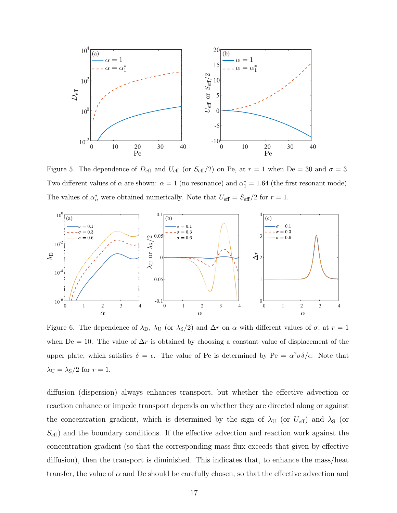

<span id="page-16-0"></span>Figure 5. The dependence of  $D_{\text{eff}}$  and  $U_{\text{eff}}$  (or  $S_{\text{eff}}/2$ ) on Pe, at  $r = 1$  when De = 30 and  $\sigma = 3$ . Two different values of  $\alpha$  are shown:  $\alpha = 1$  (no resonance) and  $\alpha_1^* = 1.64$  (the first resonant mode). The values of  $\alpha_n^*$  were obtained numerically. Note that  $U_{\text{eff}} = S_{\text{eff}}/2$  for  $r = 1$ .



<span id="page-16-1"></span>Figure 6. The dependence of  $\lambda_{D}$ ,  $\lambda_{U}$  (or  $\lambda_{S}/2$ ) and  $\Delta r$  on  $\alpha$  with different values of  $\sigma$ , at  $r = 1$ when De = 10. The value of  $\Delta r$  is obtained by choosing a constant value of displacement of the upper plate, which satisfies  $\delta = \epsilon$ . The value of Pe is determined by Pe =  $\alpha^2 \sigma \delta / \epsilon$ . Note that  $\lambda_U = \lambda_S/2$  for  $r = 1$ .

diffusion (dispersion) always enhances transport, but whether the effective advection or reaction enhance or impede transport depends on whether they are directed along or against the concentration gradient, which is determined by the sign of  $\lambda_{\text{U}}$  (or  $U_{\text{eff}}$ ) and  $\lambda_{\text{S}}$  (or  $S_{\text{eff}}$ ) and the boundary conditions. If the effective advection and reaction work against the concentration gradient (so that the corresponding mass flux exceeds that given by effective diffusion), then the transport is diminished. This indicates that, to enhance the mass/heat transfer, the value of  $\alpha$  and De should be carefully chosen, so that the effective advection and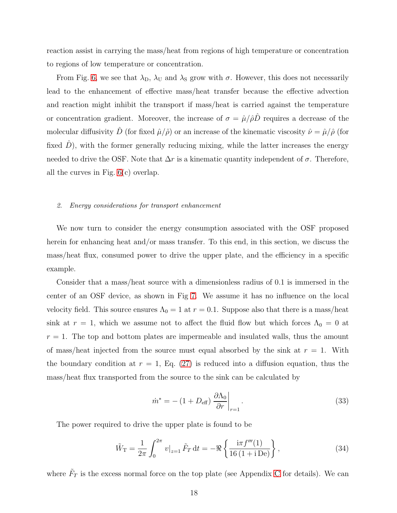reaction assist in carrying the mass/heat from regions of high temperature or concentration to regions of low temperature or concentration.

From Fig. [6,](#page-16-1) we see that  $\lambda_{\rm D}$ ,  $\lambda_{\rm U}$  and  $\lambda_{\rm S}$  grow with  $\sigma$ . However, this does not necessarily lead to the enhancement of effective mass/heat transfer because the effective advection and reaction might inhibit the transport if mass/heat is carried against the temperature or concentration gradient. Moreover, the increase of  $\sigma = \hat{\mu}/\hat{\rho}\hat{D}$  requires a decrease of the molecular diffusivity  $\hat{D}$  (for fixed  $\hat{\mu}/\hat{\rho}$ ) or an increase of the kinematic viscosity  $\hat{\nu} = \hat{\mu}/\hat{\rho}$  (for fixed  $D$ ), with the former generally reducing mixing, while the latter increases the energy needed to drive the OSF. Note that  $\Delta r$  is a kinematic quantity independent of  $\sigma$ . Therefore, all the curves in Fig. [6\(](#page-16-1)c) overlap.

#### <span id="page-17-0"></span>2. Energy considerations for transport enhancement

We now turn to consider the energy consumption associated with the OSF proposed herein for enhancing heat and/or mass transfer. To this end, in this section, we discuss the mass/heat flux, consumed power to drive the upper plate, and the efficiency in a specific example.

Consider that a mass/heat source with a dimensionless radius of 0.1 is immersed in the center of an OSF device, as shown in Fig [7.](#page-18-0) We assume it has no influence on the local velocity field. This source ensures  $\Lambda_0 = 1$  at  $r = 0.1$ . Suppose also that there is a mass/heat sink at  $r = 1$ , which we assume not to affect the fluid flow but which forces  $\Lambda_0 = 0$  at  $r = 1$ . The top and bottom plates are impermeable and insulated walls, thus the amount of mass/heat injected from the source must equal absorbed by the sink at  $r = 1$ . With the boundary condition at  $r = 1$ , Eq. [\(27\)](#page-9-0) is reduced into a diffusion equation, thus the mass/heat flux transported from the source to the sink can be calculated by

<span id="page-17-1"></span>
$$
\dot{m}^* = -\left(1 + D_{\text{eff}}\right) \left. \frac{\partial \Lambda_0}{\partial r} \right|_{r=1}.\tag{33}
$$

The power required to drive the upper plate is found to be

$$
\tilde{W}_{\rm T} = \frac{1}{2\pi} \int_0^{2\pi} v|_{z=1} \tilde{F}_{\rm T} dt = -\Re\left\{ \frac{i\pi f'''(1)}{16\,(1+i\,\text{De})} \right\},\tag{34}
$$

where  $\tilde{F}_T$  is the excess normal force on the top plate (see Appendix [C](#page-27-0) for details). We can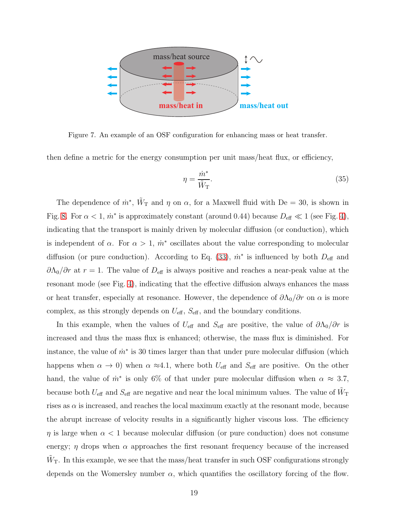

<span id="page-18-0"></span>Figure 7. An example of an OSF configuration for enhancing mass or heat transfer.

then define a metric for the energy consumption per unit mass/heat flux, or efficiency,

$$
\eta = \frac{\dot{m}^*}{\tilde{W}_{\rm T}}.\tag{35}
$$

The dependence of  $\dot{m}^*$ ,  $\tilde{W}_{\rm T}$  and  $\eta$  on  $\alpha$ , for a Maxwell fluid with De = 30, is shown in Fig. [8.](#page-19-1) For  $\alpha < 1$ ,  $\dot{m}^*$  is approximately constant (around 0.44) because  $D_{\text{eff}} \ll 1$  (see Fig. [4\)](#page-14-1), indicating that the transport is mainly driven by molecular diffusion (or conduction), which is independent of  $\alpha$ . For  $\alpha > 1$ ,  $\dot{m}^*$  oscillates about the value corresponding to molecular diffusion (or pure conduction). According to Eq. [\(33\)](#page-17-1),  $\dot{m}^*$  is influenced by both  $D_{\text{eff}}$  and  $\partial \Lambda_0/\partial r$  at  $r = 1$ . The value of  $D_{\text{eff}}$  is always positive and reaches a near-peak value at the resonant mode (see Fig. [4\)](#page-14-1), indicating that the effective diffusion always enhances the mass or heat transfer, especially at resonance. However, the dependence of  $\partial \Lambda_0/\partial r$  on  $\alpha$  is more complex, as this strongly depends on  $U_{\text{eff}}$ ,  $S_{\text{eff}}$ , and the boundary conditions.

In this example, when the values of  $U_{\text{eff}}$  and  $S_{\text{eff}}$  are positive, the value of  $\partial \Lambda_0/\partial r$  is increased and thus the mass flux is enhanced; otherwise, the mass flux is diminished. For instance, the value of  $\dot{m}^*$  is 30 times larger than that under pure molecular diffusion (which happens when  $\alpha \to 0$ ) when  $\alpha \approx 4.1$ , where both  $U_{\text{eff}}$  and  $S_{\text{eff}}$  are positive. On the other hand, the value of  $\dot{m}^*$  is only 6% of that under pure molecular diffusion when  $\alpha \approx 3.7$ , because both  $U_{\text{eff}}$  and  $S_{\text{eff}}$  are negative and near the local minimum values. The value of  $\tilde{W}_{\text{T}}$ rises as  $\alpha$  is increased, and reaches the local maximum exactly at the resonant mode, because the abrupt increase of velocity results in a significantly higher viscous loss. The efficiency  $\eta$  is large when  $\alpha < 1$  because molecular diffusion (or pure conduction) does not consume energy;  $\eta$  drops when  $\alpha$  approaches the first resonant frequency because of the increased  $\tilde{W}_{\rm T}$ . In this example, we see that the mass/heat transfer in such OSF configurations strongly depends on the Womersley number  $\alpha$ , which quantifies the oscillatory forcing of the flow.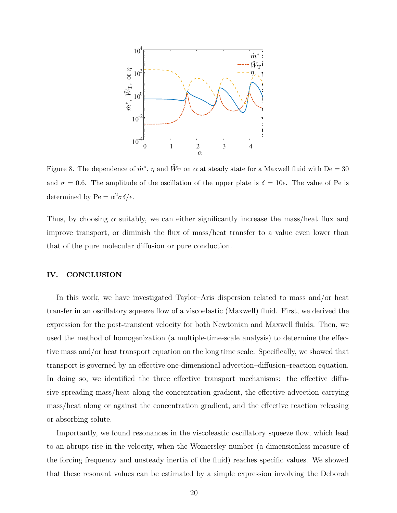

<span id="page-19-1"></span>Figure 8. The dependence of  $\dot{m}^*$ ,  $\eta$  and  $\tilde{W}_{\rm T}$  on  $\alpha$  at steady state for a Maxwell fluid with De = 30 and  $\sigma = 0.6$ . The amplitude of the oscillation of the upper plate is  $\delta = 10\epsilon$ . The value of Pe is determined by Pe =  $\alpha^2 \sigma \delta / \epsilon$ .

Thus, by choosing  $\alpha$  suitably, we can either significantly increase the mass/heat flux and improve transport, or diminish the flux of mass/heat transfer to a value even lower than that of the pure molecular diffusion or pure conduction.

# <span id="page-19-0"></span>IV. CONCLUSION

In this work, we have investigated Taylor–Aris dispersion related to mass and/or heat transfer in an oscillatory squeeze flow of a viscoelastic (Maxwell) fluid. First, we derived the expression for the post-transient velocity for both Newtonian and Maxwell fluids. Then, we used the method of homogenization (a multiple-time-scale analysis) to determine the effective mass and/or heat transport equation on the long time scale. Specifically, we showed that transport is governed by an effective one-dimensional advection–diffusion–reaction equation. In doing so, we identified the three effective transport mechanisms: the effective diffusive spreading mass/heat along the concentration gradient, the effective advection carrying mass/heat along or against the concentration gradient, and the effective reaction releasing or absorbing solute.

Importantly, we found resonances in the viscoleastic oscillatory squeeze flow, which lead to an abrupt rise in the velocity, when the Womersley number (a dimensionless measure of the forcing frequency and unsteady inertia of the fluid) reaches specific values. We showed that these resonant values can be estimated by a simple expression involving the Deborah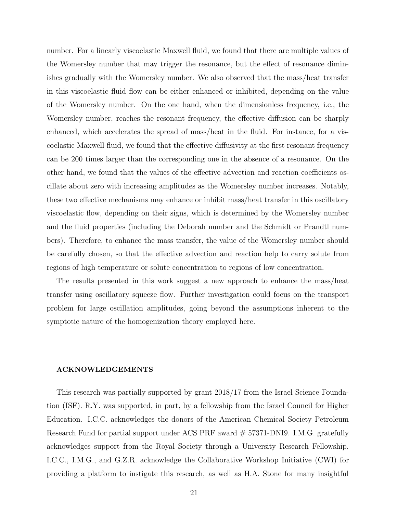number. For a linearly viscoelastic Maxwell fluid, we found that there are multiple values of the Womersley number that may trigger the resonance, but the effect of resonance diminishes gradually with the Womersley number. We also observed that the mass/heat transfer in this viscoelastic fluid flow can be either enhanced or inhibited, depending on the value of the Womersley number. On the one hand, when the dimensionless frequency, i.e., the Womersley number, reaches the resonant frequency, the effective diffusion can be sharply enhanced, which accelerates the spread of mass/heat in the fluid. For instance, for a viscoelastic Maxwell fluid, we found that the effective diffusivity at the first resonant frequency can be 200 times larger than the corresponding one in the absence of a resonance. On the other hand, we found that the values of the effective advection and reaction coefficients oscillate about zero with increasing amplitudes as the Womersley number increases. Notably, these two effective mechanisms may enhance or inhibit mass/heat transfer in this oscillatory viscoelastic flow, depending on their signs, which is determined by the Womersley number and the fluid properties (including the Deborah number and the Schmidt or Prandtl numbers). Therefore, to enhance the mass transfer, the value of the Womersley number should be carefully chosen, so that the effective advection and reaction help to carry solute from regions of high temperature or solute concentration to regions of low concentration.

The results presented in this work suggest a new approach to enhance the mass/heat transfer using oscillatory squeeze flow. Further investigation could focus on the transport problem for large oscillation amplitudes, going beyond the assumptions inherent to the symptotic nature of the homogenization theory employed here.

#### ACKNOWLEDGEMENTS

This research was partially supported by grant 2018/17 from the Israel Science Foundation (ISF). R.Y. was supported, in part, by a fellowship from the Israel Council for Higher Education. I.C.C. acknowledges the donors of the American Chemical Society Petroleum Research Fund for partial support under ACS PRF award # 57371-DNI9. I.M.G. gratefully acknowledges support from the Royal Society through a University Research Fellowship. I.C.C., I.M.G., and G.Z.R. acknowledge the Collaborative Workshop Initiative (CWI) for providing a platform to instigate this research, as well as H.A. Stone for many insightful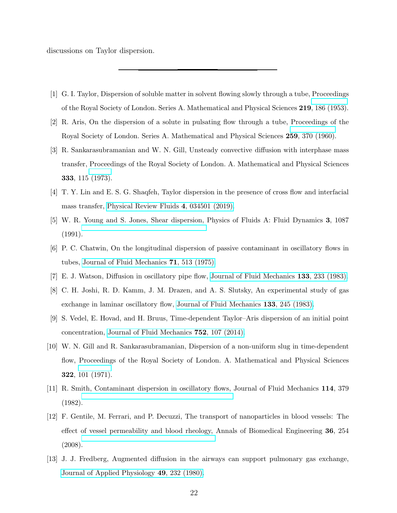discussions on Taylor dispersion.

- <span id="page-21-0"></span>[1] G. I. Taylor, Dispersion of soluble matter in solvent flowing slowly through a tube, Proceedings of the Royal Society of London. Series A. Mathematical and Physical Sciences 219, 186 (1953).
- [2] R. Aris, On the dispersion of a solute in pulsating flow through a tube, Proceedings of the Royal Society of London. Series A. Mathematical and Physical Sciences 259, 370 (1960).
- [3] R. Sankarasubramanian and W. N. Gill, Unsteady convective diffusion with interphase mass transfer, Proceedings of the Royal Society of London. A. Mathematical and Physical Sciences 333, 115 (1973).
- [4] T. Y. Lin and E. S. G. Shaqfeh, Taylor dispersion in the presence of cross flow and interfacial mass transfer, [Physical Review Fluids](https://doi.org/10.1103/PhysRevFluids.4.034501) 4, 034501 (2019).
- <span id="page-21-1"></span>[5] W. R. Young and S. Jones, Shear dispersion, Physics of Fluids A: Fluid Dynamics 3, 1087 (1991).
- <span id="page-21-2"></span>[6] P. C. Chatwin, On the longitudinal dispersion of passive contaminant in oscillatory flows in tubes, [Journal of Fluid Mechanics](https://doi.org/10.1017/S0022112075002716) 71, 513 (1975).
- [7] E. J. Watson, Diffusion in oscillatory pipe flow, Journal of [Fluid Mechanics](https://doi.org/10.1017/S0022112083001883) 133, 233 (1983).
- [8] C. H. Joshi, R. D. Kamm, J. M. Drazen, and A. S. Slutsky, An experimental study of gas exchange in laminar oscillatory flow, [Journal of Fluid Mechanics](https://doi.org/10.1017/S0022112083001895) 133, 245 (1983).
- [9] S. Vedel, E. Hovad, and H. Bruus, Time-dependent Taylor–Aris dispersion of an initial point concentration, [Journal of Fluid Mechanics](https://doi.org/10.1017/jfm.2014.324) 752, 107 (2014).
- [10] W. N. Gill and R. Sankarasubramanian, Dispersion of a non-uniform slug in time-dependent flow, Proceedings of the Royal Society of London. A. Mathematical and Physical Sciences 322, 101 (1971).
- <span id="page-21-3"></span>[11] R. Smith, Contaminant dispersion in oscillatory flows, Journal of Fluid Mechanics 114, 379 (1982).
- <span id="page-21-4"></span>[12] F. Gentile, M. Ferrari, and P. Decuzzi, The transport of nanoparticles in blood vessels: The effect of vessel permeability and blood rheology, Annals of Biomedical Engineering 36, 254 (2008).
- <span id="page-21-5"></span>[13] J. J. Fredberg, Augmented diffusion in the airways can support pulmonary gas exchange, [Journal of Applied Physiology](https://doi.org/10.1152/jappl.1980.49.2.232) 49, 232 (1980).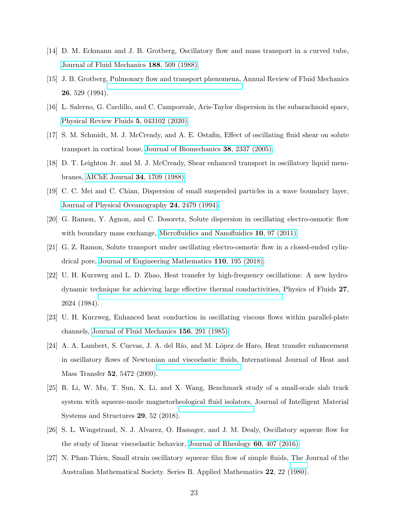- [14] D. M. Eckmann and J. B. Grotberg, Oscillatory flow and mass transport in a curved tube, [Journal of Fluid Mechanics](https://doi.org/10.1017/S0022112088000825) 188, 509 (1988).
- <span id="page-22-0"></span>[15] J. B. Grotberg, Pulmonary flow and transport phenomena, Annual Review of Fluid Mechanics 26, 529 (1994).
- <span id="page-22-1"></span>[16] L. Salerno, G. Cardillo, and C. Camporeale, Aris-Taylor dispersion in the subarachnoid space, [Physical Review Fluids](https://doi.org/10.1103/PhysRevFluids.5.043102) 5, 043102 (2020).
- <span id="page-22-2"></span>[17] S. M. Schmidt, M. J. McCready, and A. E. Ostafin, Effect of oscillating fluid shear on solute transport in cortical bone, [Journal of Biomechanics](https://doi.org/10.1016/j.jbiomech.2004.10.013) 38, 2337 (2005).
- <span id="page-22-3"></span>[18] D. T. Leighton Jr. and M. J. McCready, Shear enhanced transport in oscillatory liquid membranes, [AIChE Journal](https://doi.org/10.1002/aic.690341015) 34, 1709 (1988).
- <span id="page-22-4"></span>[19] C. C. Mei and C. Chian, Dispersion of small suspended particles in a wave boundary layer, [Journal of Physical Oceanography](https://doi.org/10.1175/1520-0485(1994)024<2479:DOSSPI>2.0.CO;2) 24, 2479 (1994).
- <span id="page-22-5"></span>[20] G. Ramon, Y. Agnon, and C. Dosoretz, Solute dispersion in oscillating electro-osmotic flow with boundary mass exchange, [Microfluidics and Nanofluidics](https://doi.org/10.1007/s10404-010-0650-z) 10, 97 (2011).
- <span id="page-22-6"></span>[21] G. Z. Ramon, Solute transport under oscillating electro-osmotic flow in a closed-ended cylindrical pore, [Journal of Engineering Mathematics](https://doi.org/10.1007/s10665-017-9949-z) 110, 195 (2018).
- <span id="page-22-7"></span>[22] U. H. Kurzweg and L. D. Zhao, Heat transfer by high-frequency oscillations: A new hydrodynamic technique for achieving large effective thermal conductivities, Physics of Fluids 27, 2624 (1984).
- [23] U. H. Kurzweg, Enhanced heat conduction in oscillating viscous flows within parallel-plate channels, [Journal of Fluid Mechanics](https://doi.org/10.1017/S0022112085002105) 156, 291 (1985).
- <span id="page-22-8"></span>[24] A. A. Lambert, S. Cuevas, J. A. del Río, and M. López de Haro, Heat transfer enhancement in oscillatory flows of Newtonian and viscoelastic fluids, International Journal of Heat and Mass Transfer 52, 5472 (2009).
- <span id="page-22-9"></span>[25] R. Li, W. Mu, T. Sun, X. Li, and X. Wang, Benchmark study of a small-scale slab track system with squeeze-mode magnetorheological fluid isolators, Journal of Intelligent Material Systems and Structures 29, 52 (2018).
- <span id="page-22-10"></span>[26] S. L. Wingstrand, N. J. Alvarez, O. Hassager, and J. M. Dealy, Oscillatory squeeze flow for the study of linear viscoelastic behavior, [Journal of Rheology](https://doi.org/10.1122/1.4943984) 60, 407 (2016).
- <span id="page-22-11"></span>[27] N. Phan-Thien, Small strain oscillatory squeeze film flow of simple fluids, The Journal of the Australian Mathematical Society. Series B. Applied Mathematics 22, 22 (1980).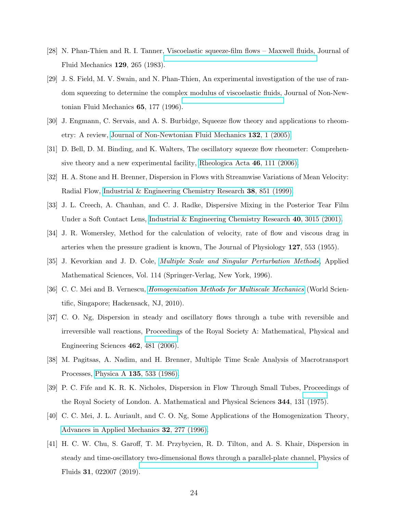- <span id="page-23-0"></span>[28] N. Phan-Thien and R. I. Tanner, Viscoelastic squeeze-film flows – Maxwell fluids, Journal of Fluid Mechanics 129, 265 (1983).
- <span id="page-23-1"></span>[29] J. S. Field, M. V. Swain, and N. Phan-Thien, An experimental investigation of the use of random squeezing to determine the complex modulus of viscoelastic fluids, Journal of Non-Newtonian Fluid Mechanics 65, 177 (1996).
- <span id="page-23-2"></span>[30] J. Engmann, C. Servais, and A. S. Burbidge, Squeeze flow theory and applications to rheometry: A review, [Journal of Non-Newtonian Fluid Mechanics](https://doi.org/10.1016/j.jnnfm.2005.08.007) 132, 1 (2005).
- <span id="page-23-3"></span>[31] D. Bell, D. M. Binding, and K. Walters, The oscillatory squeeze flow rheometer: Comprehensive theory and a new experimental facility, [Rheologica Acta](https://doi.org/10.1007/s00397-006-0097-z) 46, 111 (2006).
- <span id="page-23-4"></span>[32] H. A. Stone and H. Brenner, Dispersion in Flows with Streamwise Variations of Mean Velocity: Radial Flow, [Industrial & Engineering Chemistry Research](https://doi.org/10.1021/ie980355f) 38, 851 (1999).
- <span id="page-23-5"></span>[33] J. L. Creech, A. Chauhan, and C. J. Radke, Dispersive Mixing in the Posterior Tear Film Under a Soft Contact Lens, [Industrial & Engineering Chemistry Research](https://doi.org/10.1021/ie000596z) 40, 3015 (2001).
- <span id="page-23-6"></span>[34] J. R. Womersley, Method for the calculation of velocity, rate of flow and viscous drag in arteries when the pressure gradient is known, The Journal of Physiology 127, 553 (1955).
- <span id="page-23-7"></span>[35] J. Kevorkian and J. D. Cole, [Multiple Scale and Singular Perturbation Methods](https://doi.org/10.1007/978-1-4612-3968-0), Applied Mathematical Sciences, Vol. 114 (Springer-Verlag, New York, 1996).
- <span id="page-23-8"></span>[36] C. C. Mei and B. Vernescu, [Homogenization Methods for Multiscale Mechanics](https://doi.org/10.1142/7427) (World Scientific, Singapore; Hackensack, NJ, 2010).
- <span id="page-23-9"></span>[37] C. O. Ng, Dispersion in steady and oscillatory flows through a tube with reversible and irreversible wall reactions, Proceedings of the Royal Society A: Mathematical, Physical and Engineering Sciences 462, 481 (2006).
- <span id="page-23-10"></span>[38] M. Pagitsas, A. Nadim, and H. Brenner, Multiple Time Scale Analysis of Macrotransport Processes, Physica A 135[, 533 \(1986\).](https://doi.org/10.1016/0378-4371(86)90158-5)
- <span id="page-23-11"></span>[39] P. C. Fife and K. R. K. Nicholes, Dispersion in Flow Through Small Tubes, Proceedings of the Royal Society of London. A. Mathematical and Physical Sciences 344, 131 (1975).
- <span id="page-23-12"></span>[40] C. C. Mei, J. L. Auriault, and C. O. Ng, Some Applications of the Homogenization Theory, [Advances in Applied Mechanics](https://doi.org/10.1016/S0065-2156(08)70078-4) 32, 277 (1996).
- <span id="page-23-13"></span>[41] H. C. W. Chu, S. Garoff, T. M. Przybycien, R. D. Tilton, and A. S. Khair, Dispersion in steady and time-oscillatory two-dimensional flows through a parallel-plate channel, Physics of Fluids 31, 022007 (2019).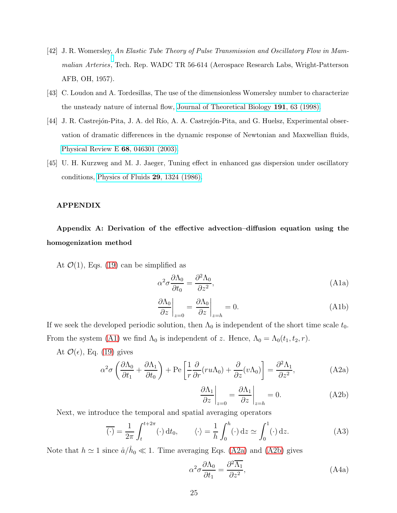- <span id="page-24-1"></span>[42] J. R. Womersley, An Elastic Tube Theory of Pulse Transmission and Oscillatory Flow in Mammalian Arteries, Tech. Rep. WADC TR 56-614 (Aerospace Research Labs, Wright-Patterson AFB, OH, 1957).
- <span id="page-24-2"></span>[43] C. Loudon and A. Tordesillas, The use of the dimensionless Womersley number to characterize the unsteady nature of internal flow, [Journal of Theoretical](https://doi.org/10.1006/jtbi.1997.0564) Biology 191, 63 (1998).
- <span id="page-24-3"></span>[44] J. R. Castrejón-Pita, J. A. del Río, A. A. Castrejón-Pita, and G. Huelsz, Experimental observation of dramatic differences in the dynamic response of Newtonian and Maxwellian fluids, [Physical Review E](https://doi.org/10.1103/PhysRevE.68.046301) 68, 046301 (2003).
- <span id="page-24-4"></span>[45] U. H. Kurzweg and M. J. Jaeger, Tuning effect in enhanced gas dispersion under oscillatory conditions, [Physics of Fluids](https://doi.org/10.1063/1.865882) 29, 1324 (1986).

#### APPENDIX

# <span id="page-24-0"></span>Appendix A: Derivation of the effective advection–diffusion equation using the homogenization method

At  $\mathcal{O}(1)$ , Eqs. [\(19\)](#page-7-4) can be simplified as

<span id="page-24-5"></span>
$$
\alpha^2 \sigma \frac{\partial \Lambda_0}{\partial t_0} = \frac{\partial^2 \Lambda_0}{\partial z^2},\tag{A1a}
$$

$$
\left. \frac{\partial \Lambda_0}{\partial z} \right|_{z=0} = \left. \frac{\partial \Lambda_0}{\partial z} \right|_{z=h} = 0. \tag{A1b}
$$

If we seek the developed periodic solution, then  $\Lambda_0$  is independent of the short time scale  $t_0$ . From the system [\(A1\)](#page-24-5) we find  $\Lambda_0$  is independent of z. Hence,  $\Lambda_0 = \Lambda_0(t_1, t_2, r)$ .

At  $\mathcal{O}(\epsilon)$ , Eq. [\(19\)](#page-7-4) gives

$$
\alpha^2 \sigma \left( \frac{\partial \Lambda_0}{\partial t_1} + \frac{\partial \Lambda_1}{\partial t_0} \right) + \text{Pe} \left[ \frac{1}{r} \frac{\partial}{\partial r} (r u \Lambda_0) + \frac{\partial}{\partial z} (v \Lambda_0) \right] = \frac{\partial^2 \Lambda_1}{\partial z^2}, \tag{A2a}
$$

<span id="page-24-7"></span><span id="page-24-6"></span>
$$
\left. \frac{\partial \Lambda_1}{\partial z} \right|_{z=0} = \left. \frac{\partial \Lambda_1}{\partial z} \right|_{z=h} = 0. \tag{A2b}
$$

Next, we introduce the temporal and spatial averaging operators

$$
\overline{(\cdot)} = \frac{1}{2\pi} \int_{t}^{t+2\pi} (\cdot) dt_0, \qquad \langle \cdot \rangle = \frac{1}{h} \int_{0}^{h} (\cdot) dz \simeq \int_{0}^{1} (\cdot) dz. \tag{A3}
$$

Note that  $h \simeq 1$  since  $\hat{a}/\hat{h}_0 \ll 1$ . Time averaging Eqs. [\(A2a\)](#page-24-6) and [\(A2b\)](#page-24-7) gives

<span id="page-24-8"></span>
$$
\alpha^2 \sigma \frac{\partial \Lambda_0}{\partial t_1} = \frac{\partial^2 \overline{\Lambda_1}}{\partial z^2},\tag{A4a}
$$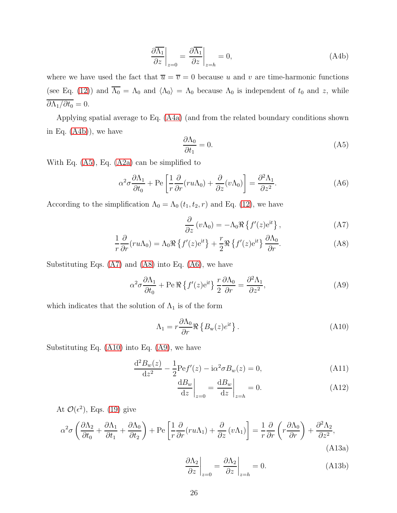$$
\left. \frac{\partial \overline{\Lambda_1}}{\partial z} \right|_{z=0} = \left. \frac{\partial \overline{\Lambda_1}}{\partial z} \right|_{z=h} = 0,\tag{A4b}
$$

where we have used the fact that  $\overline{u} = \overline{v} = 0$  because u and v are time-harmonic functions (see Eq. [\(12\)](#page-6-6)) and  $\overline{\Lambda_0} = \Lambda_0$  and  $\langle \Lambda_0 \rangle = \Lambda_0$  because  $\Lambda_0$  is independent of  $t_0$  and z, while  $\overline{\partial \Lambda_1/\partial t_0} = 0.$ 

Applying spatial average to Eq. [\(A4a\)](#page-24-8) (and from the related boundary conditions shown in Eq. [\(A4b\)](#page-25-0)), we have

<span id="page-25-4"></span><span id="page-25-1"></span><span id="page-25-0"></span>
$$
\frac{\partial \Lambda_0}{\partial t_1} = 0. \tag{A5}
$$

With Eq. [\(A5\)](#page-25-1), Eq. [\(A2a\)](#page-24-6) can be simplified to

$$
\alpha^2 \sigma \frac{\partial \Lambda_1}{\partial t_0} + \text{Pe}\left[\frac{1}{r}\frac{\partial}{\partial r}(ru\Lambda_0) + \frac{\partial}{\partial z}(v\Lambda_0)\right] = \frac{\partial^2 \Lambda_1}{\partial z^2}.
$$
 (A6)

According to the simplification  $\Lambda_0 = \Lambda_0 (t_1, t_2, r)$  and Eq. [\(12\)](#page-6-6), we have

<span id="page-25-3"></span><span id="page-25-2"></span>
$$
\frac{\partial}{\partial z} (v\Lambda_0) = -\Lambda_0 \Re \{f'(z)e^{it}\},\qquad (A7)
$$

$$
\frac{1}{r}\frac{\partial}{\partial r}(ru\Lambda_0) = \Lambda_0 \Re\left\{f'(z)e^{it}\right\} + \frac{r}{2} \Re\left\{f'(z)e^{it}\right\} \frac{\partial \Lambda_0}{\partial r}.\tag{A8}
$$

Substituting Eqs.  $(A7)$  and  $(A8)$  into Eq.  $(A6)$ , we have

<span id="page-25-6"></span>
$$
\alpha^2 \sigma \frac{\partial \Lambda_1}{\partial t_0} + \text{Pe } \Re \left\{ f'(z) e^{it} \right\} \frac{r}{2} \frac{\partial \Lambda_0}{\partial r} = \frac{\partial^2 \Lambda_1}{\partial z^2},\tag{A9}
$$

which indicates that the solution of  $\Lambda_1$  is of the form

<span id="page-25-5"></span>
$$
\Lambda_1 = r \frac{\partial \Lambda_0}{\partial r} \Re \left\{ B_{\mathbf{w}}(z) e^{\mathbf{i}t} \right\}.
$$
\n(A10)

Substituting Eq. [\(A10\)](#page-25-5) into Eq. [\(A9\)](#page-25-6), we have

$$
\frac{d^2 B_w(z)}{dz^2} - \frac{1}{2} \text{Pe} f'(z) - i \alpha^2 \sigma B_w(z) = 0,
$$
\n(A11)

$$
\left. \frac{\mathrm{d}B_w}{\mathrm{d}z} \right|_{z=0} = \left. \frac{\mathrm{d}B_w}{\mathrm{d}z} \right|_{z=h} = 0. \tag{A12}
$$

At  $\mathcal{O}(\epsilon^2)$ , Eqs. [\(19\)](#page-7-4) give

$$
\alpha^2 \sigma \left( \frac{\partial \Lambda_2}{\partial t_0} + \frac{\partial \Lambda_1}{\partial t_1} + \frac{\partial \Lambda_0}{\partial t_2} \right) + \text{Pe} \left[ \frac{1}{r} \frac{\partial}{\partial r} (r u \Lambda_1) + \frac{\partial}{\partial z} (v \Lambda_1) \right] = \frac{1}{r} \frac{\partial}{\partial r} \left( r \frac{\partial \Lambda_0}{\partial r} \right) + \frac{\partial^2 \Lambda_2}{\partial z^2},\tag{A13a}
$$

<span id="page-25-7"></span>
$$
\left. \frac{\partial \Lambda_2}{\partial z} \right|_{z=0} = \left. \frac{\partial \Lambda_2}{\partial z} \right|_{z=h} = 0. \tag{A13b}
$$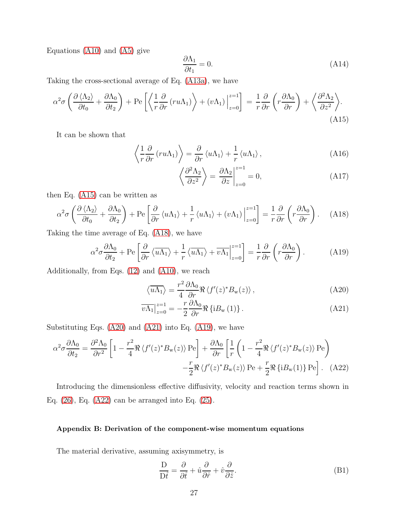Equations [\(A10\)](#page-25-5) and [\(A5\)](#page-25-1) give

<span id="page-26-1"></span>
$$
\frac{\partial \Lambda_1}{\partial t_1} = 0. \tag{A14}
$$

Taking the cross-sectional average of Eq. [\(A13a\)](#page-25-7), we have

$$
\alpha^2 \sigma \left( \frac{\partial \langle \Lambda_2 \rangle}{\partial t_0} + \frac{\partial \Lambda_0}{\partial t_2} \right) + \text{Pe} \left[ \left\langle \frac{1}{r} \frac{\partial}{\partial r} \left( r u \Lambda_1 \right) \right\rangle + \left( v \Lambda_1 \right) \Big|_{z=0}^{z=1} \right] = \frac{1}{r} \frac{\partial}{\partial r} \left( r \frac{\partial \Lambda_0}{\partial r} \right) + \left\langle \frac{\partial^2 \Lambda_2}{\partial z^2} \right\rangle. \tag{A15}
$$

It can be shown that

$$
\left\langle \frac{1}{r} \frac{\partial}{\partial r} \left( r u \Lambda_1 \right) \right\rangle = \frac{\partial}{\partial r} \left\langle u \Lambda_1 \right\rangle + \frac{1}{r} \left\langle u \Lambda_1 \right\rangle, \tag{A16}
$$

$$
\left\langle \frac{\partial^2 \Lambda_2}{\partial z^2} \right\rangle = \left. \frac{\partial \Lambda_2}{\partial z} \right|_{z=0}^{z=1} = 0,\tag{A17}
$$

then Eq. [\(A15\)](#page-26-1) can be written as

<span id="page-26-2"></span>
$$
\alpha^2 \sigma \left( \frac{\partial \langle \Lambda_2 \rangle}{\partial t_0} + \frac{\partial \Lambda_0}{\partial t_2} \right) + \text{Pe} \left[ \frac{\partial}{\partial r} \langle u \Lambda_1 \rangle + \frac{1}{r} \langle u \Lambda_1 \rangle + (v \Lambda_1) \Big|_{z=0}^{z=1} \right] = \frac{1}{r} \frac{\partial}{\partial r} \left( r \frac{\partial \Lambda_0}{\partial r} \right). \tag{A18}
$$

Taking the time average of Eq. [\(A18\)](#page-26-2), we have

<span id="page-26-5"></span>
$$
\alpha^2 \sigma \frac{\partial \Lambda_0}{\partial t_2} + \text{Pe}\left[\frac{\partial}{\partial r} \left\langle \overline{u \Lambda_1} \right\rangle + \frac{1}{r} \left\langle \overline{u \Lambda_1} \right\rangle + \overline{v \Lambda_1} \Big|_{z=0}^{z=1} \right] = \frac{1}{r} \frac{\partial}{\partial r} \left( r \frac{\partial \Lambda_0}{\partial r} \right). \tag{A19}
$$

Additionally, from Eqs. [\(12\)](#page-6-6) and [\(A10\)](#page-25-5), we reach

<span id="page-26-4"></span><span id="page-26-3"></span>
$$
\langle \overline{u\Lambda_1} \rangle = \frac{r^2}{4} \frac{\partial \Lambda_0}{\partial r} \Re \langle f'(z)^* B_{\mathbf{w}}(z) \rangle , \qquad (A20)
$$

<span id="page-26-6"></span>
$$
\overline{v\Lambda_1}\Big|_{z=0}^{z=1} = -\frac{r}{2} \frac{\partial \Lambda_0}{\partial r} \Re\left\{i B_{\rm w}(1)\right\}.
$$
 (A21)

Substituting Eqs. [\(A20\)](#page-26-3) and [\(A21\)](#page-26-4) into Eq. [\(A19\)](#page-26-5), we have

$$
\alpha^2 \sigma \frac{\partial \Lambda_0}{\partial t_2} = \frac{\partial^2 \Lambda_0}{\partial r^2} \left[ 1 - \frac{r^2}{4} \Re \langle f'(z)^* B_{\mathbf{w}}(z) \rangle \operatorname{Pe} \right] + \frac{\partial \Lambda_0}{\partial r} \left[ \frac{1}{r} \left( 1 - \frac{r^2}{4} \Re \langle f'(z)^* B_{\mathbf{w}}(z) \rangle \operatorname{Pe} \right) - \frac{r}{2} \Re \langle f'(z)^* B_{\mathbf{w}}(z) \rangle \operatorname{Pe} + \frac{r}{2} \Re \left\{ i B_{\mathbf{w}}(1) \right\} \operatorname{Pe} \right]. \tag{A22}
$$

Introducing the dimensionless effective diffusivity, velocity and reaction terms shown in Eq.  $(26)$ , Eq.  $(A22)$  can be arranged into Eq.  $(25)$ .

# <span id="page-26-0"></span>Appendix B: Derivation of the component-wise momentum equations

The material derivative, assuming axisymmetry, is

$$
\frac{\mathcal{D}}{\mathcal{D}\hat{t}} = \frac{\partial}{\partial \hat{t}} + \hat{u}\frac{\partial}{\partial \hat{r}} + \hat{v}\frac{\partial}{\partial \hat{z}}.
$$
(B1)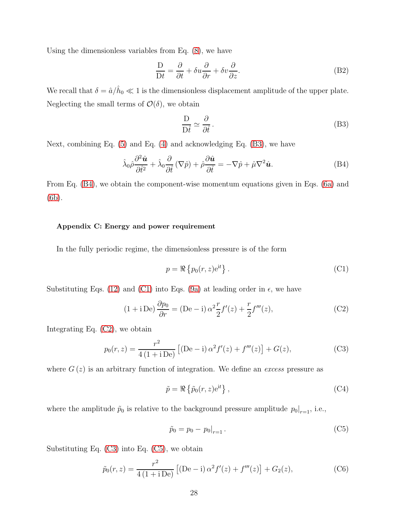Using the dimensionless variables from Eq. [\(8\)](#page-5-6), we have

$$
\frac{\mathcal{D}}{\mathcal{D}t} = \frac{\partial}{\partial t} + \delta u \frac{\partial}{\partial r} + \delta v \frac{\partial}{\partial z}.
$$
 (B2)

We recall that  $\delta = \hat{a}/\hat{h}_0 \ll 1$  is the dimensionless displacement amplitude of the upper plate. Neglecting the small terms of  $\mathcal{O}(\delta)$ , we obtain

<span id="page-27-1"></span>
$$
\frac{\mathcal{D}}{\mathcal{D}\hat{t}} \simeq \frac{\partial}{\partial \hat{t}}\,. \tag{B3}
$$

Next, combining Eq.  $(5)$  and Eq.  $(4)$  and acknowledging Eq.  $(B3)$ , we have

<span id="page-27-2"></span>
$$
\hat{\lambda}_{0}\hat{\rho}\frac{\partial^{2}\hat{\mathbf{u}}}{\partial\hat{t}^{2}} + \hat{\lambda}_{0}\frac{\partial}{\partial\hat{t}}\left(\nabla\hat{p}\right) + \hat{\rho}\frac{\partial\hat{\mathbf{u}}}{\partial\hat{t}} = -\nabla\hat{p} + \hat{\mu}\nabla^{2}\hat{\mathbf{u}}.\tag{B4}
$$

From Eq. [\(B4\)](#page-27-2), we obtain the component-wise momentum equations given in Eqs. [\(6a\)](#page-5-0) and [\(6b\)](#page-5-1).

# <span id="page-27-0"></span>Appendix C: Energy and power requirement

In the fully periodic regime, the dimensionless pressure is of the form

<span id="page-27-3"></span>
$$
p = \Re\left\{p_0(r, z)e^{it}\right\}.
$$
 (C1)

Substituting Eqs. [\(12\)](#page-6-6) and [\(C1\)](#page-27-3) into Eqs. [\(9a\)](#page-5-3) at leading order in  $\epsilon$ , we have

<span id="page-27-4"></span>
$$
(1 + i \operatorname{De}) \frac{\partial p_0}{\partial r} = (\operatorname{De} - i) \alpha^2 \frac{r}{2} f'(z) + \frac{r}{2} f'''(z), \tag{C2}
$$

Integrating Eq. [\(C2\)](#page-27-4), we obtain

<span id="page-27-5"></span>
$$
p_0(r, z) = \frac{r^2}{4(1 + iDe)} [(De - i)\alpha^2 f'(z) + f'''(z)] + G(z),
$$
 (C3)

where  $G(z)$  is an arbitrary function of integration. We define an excess pressure as

<span id="page-27-7"></span>
$$
\tilde{p} = \Re\left\{\tilde{p}_0(r, z) e^{it}\right\},\tag{C4}
$$

where the amplitude  $\tilde{p}_0$  is relative to the background pressure amplitude  $p_0|_{r=1}$ , i.e.,

<span id="page-27-6"></span>
$$
\tilde{p}_0 = p_0 - p_0|_{r=1}.
$$
\n(C5)

Substituting Eq. [\(C3\)](#page-27-5) into Eq. [\(C5\)](#page-27-6), we obtain

$$
\tilde{p}_0(r,z) = \frac{r^2}{4(1+i \operatorname{De})} \left[ (\operatorname{De} - \mathrm{i}) \alpha^2 f'(z) + f'''(z) \right] + G_2(z),\tag{C6}
$$